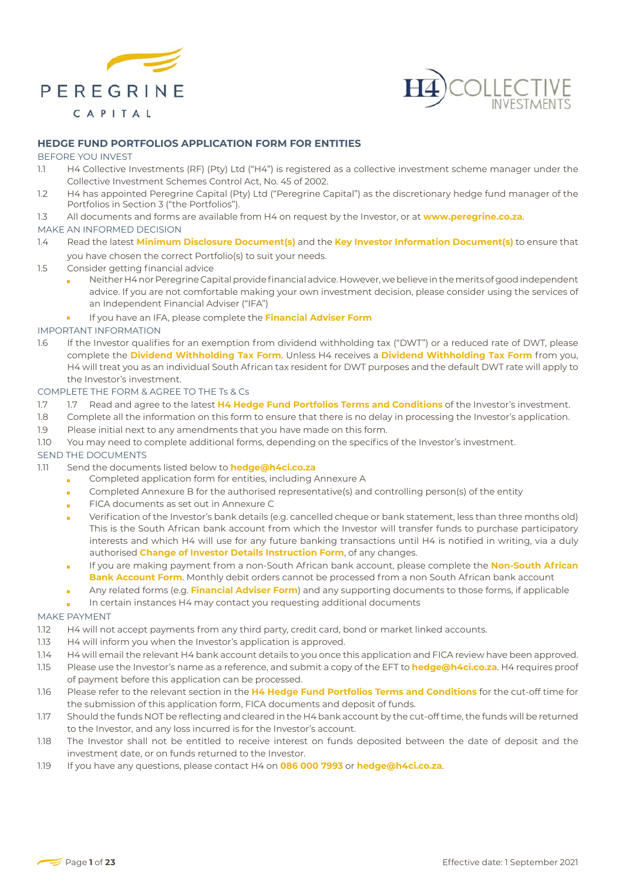



# **HEDGE FUND PORTFOLIOS APPLICATION FORM FOR ENTITIES**

### BEFORE YOU INVEST

- 1.1 H4 Collective Investments (RF) (Pty) Ltd ("H4") is registered as a collective investment scheme manager under the Collective Investment Schemes Control Act, No. 45 of 2002.
- 1.2 H4 has appointed Peregrine Capital (Pty) Ltd ("Peregrine Capital") as the discretionary hedge fund manager of the Portfolios in Section 3 ("the Portfolios").
- 1.3 All documents and forms are available from H4 on request by the Investor, or at **www.peregrine.co.za**.

### MAKE AN INFORMED DECISION

- 1.4 Read the latest **Minimum Disclosure Document(s)** and the **Key Investor Information Document(s)** to ensure that you have chosen the correct Portfolio(s) to suit your needs.
- 1.5 Consider getting financial advice
	- Neither H4 nor Peregrine Capital provide financial advice. However, we believe in the merits of good independent advice. If you are not comfortable making your own investment decision, please consider using the services of an Independent Financial Adviser ("IFA")
	- If you have an IFA, please complete the **Financial Adviser Form**

# IMPORTANT INFORMATION

1.6 If the Investor qualifies for an exemption from dividend withholding tax ("DWT") or a reduced rate of DWT, please complete the **Dividend Withholding Tax Form**. Unless H4 receives a **Dividend Withholding Tax Form** from you, H4 will treat you as an individual South African tax resident for DWT purposes and the default DWT rate will apply to the Investor's investment.

# COMPLETE THE FORM & AGREE TO THE Ts & Cs

- 1.7 1.7 Read and agree to the latest **H4 Hedge Fund Portfolios Terms and Conditions** of the Investor's investment.
- 1.8 Complete all the information on this form to ensure that there is no delay in processing the Investor's application.
- 1.9 Please initial next to any amendments that you have made on this form.
- 1.10 You may need to complete additional forms, depending on the specifics of the Investor's investment.

### SEND THE DOCUMENTS

- 1.11 Send the documents listed below to **hedge@h4ci.co.za**
	- Completed application form for entities, including Annexure A
	- Completed Annexure B for the authorised representative(s) and controlling person(s) of the entity
	- FICA documents as set out in Annexure C Ė
	- Verification of the Investor's bank details (e.g. cancelled cheque or bank statement, less than three months old) ř. This is the South African bank account from which the Investor will transfer funds to purchase participatory interests and which H4 will use for any future banking transactions until H4 is notified in writing, via a duly authorised **Change of Investor Details Instruction Form**, of any changes.
	- If you are making payment from a non-South African bank account, please complete the **Non-South African Bank Account Form**. Monthly debit orders cannot be processed from a non South African bank account
	- Any related forms (e.g. **Financial Adviser Form**) and any supporting documents to those forms, if applicable
	- In certain instances H4 may contact you requesting additional documents

# MAKE PAYMENT

- 1.12 H4 will not accept payments from any third party, credit card, bond or market linked accounts.
- 1.13 H4 will inform you when the Investor's application is approved.
- 1.14 H4 will email the relevant H4 bank account details to you once this application and FICA review have been approved.
- 1.15 Please use the Investor's name as a reference, and submit a copy of the EFT to **hedge@h4ci.co.za**. H4 requires proof of payment before this application can be processed.
- 1.16 Please refer to the relevant section in the **H4 Hedge Fund Portfolios Terms and Conditions** for the cut-off time for the submission of this application form, FICA documents and deposit of funds.
- 1.17 Should the funds NOT be reflecting and cleared in the H4 bank account by the cut-off time, the funds will be returned to the Investor, and any loss incurred is for the Investor's account.
- 1.18 The Investor shall not be entitled to receive interest on funds deposited between the date of deposit and the investment date, or on funds returned to the Investor.
- 1.19 If you have any questions, please contact H4 on **086 000 7993** or **hedge@h4ci.co.za**.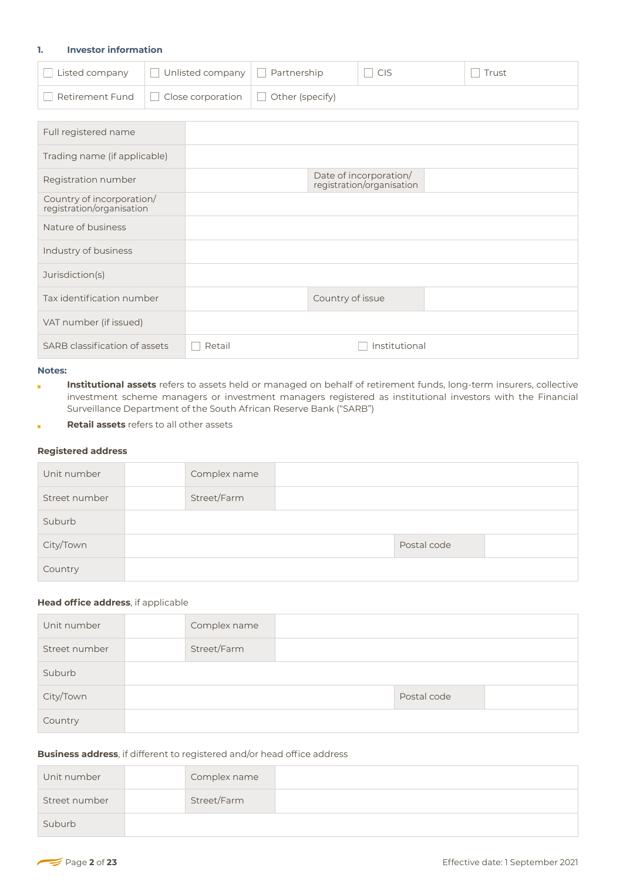### **1. Investor information**

| $\Box$ Listed company | $\Box$ Unlisted company $\Box$ Partnership                      | $\sqsupset$ CIS | Trust |
|-----------------------|-----------------------------------------------------------------|-----------------|-------|
|                       | Retirement Fund $\Box$ Close corporation $\Box$ Other (specify) |                 |       |

| Full registered name                                   |        |                                                     |  |
|--------------------------------------------------------|--------|-----------------------------------------------------|--|
| Trading name (if applicable)                           |        |                                                     |  |
| Registration number                                    |        | Date of incorporation/<br>registration/organisation |  |
| Country of incorporation/<br>registration/organisation |        |                                                     |  |
| Nature of business                                     |        |                                                     |  |
| Industry of business                                   |        |                                                     |  |
| Jurisdiction(s)                                        |        |                                                     |  |
| Tax identification number                              |        | Country of issue                                    |  |
| VAT number (if issued)                                 |        |                                                     |  |
| SARB classification of assets                          | Retail | Institutional                                       |  |

# **Notes:**

- **Institutional assets** refers to assets held or managed on behalf of retirement funds, long-term insurers, collective Ĩ. investment scheme managers or investment managers registered as institutional investors with the Financial Surveillance Department of the South African Reserve Bank ("SARB")
- **Retail assets** refers to all other assets ř.

# **Registered address**

| Unit number   | Complex name |             |  |
|---------------|--------------|-------------|--|
| Street number | Street/Farm  |             |  |
| Suburb        |              |             |  |
| City/Town     |              | Postal code |  |
| Country       |              |             |  |

# **Head office address**, if applicable

| Unit number   | Complex name |             |  |
|---------------|--------------|-------------|--|
| Street number | Street/Farm  |             |  |
| Suburb        |              |             |  |
| City/Town     |              | Postal code |  |
| Country       |              |             |  |

# **Business address**, if different to registered and/or head office address

| Unit number   | Complex name |  |
|---------------|--------------|--|
| Street number | Street/Farm  |  |
| Suburb        |              |  |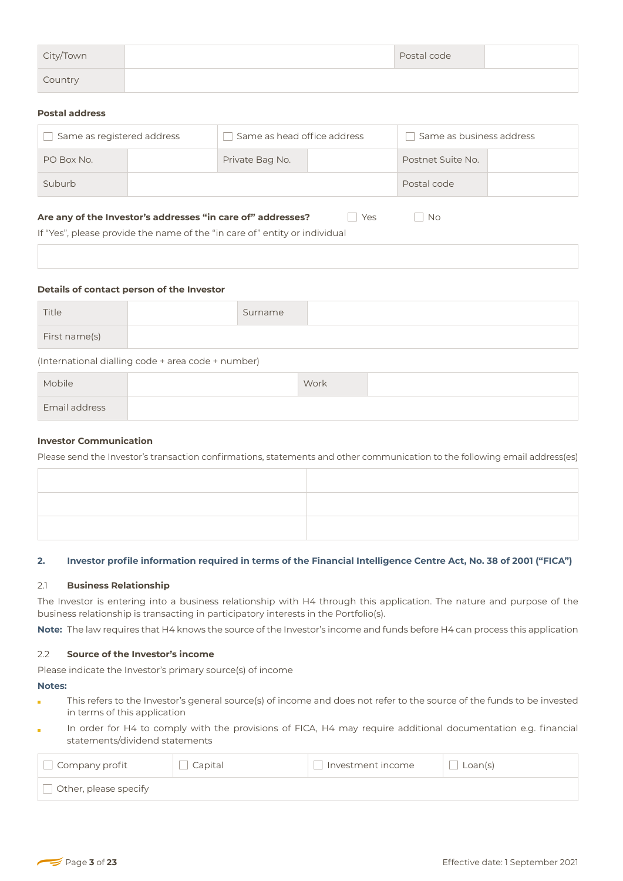| City/Town | Postal code |  |
|-----------|-------------|--|
| Country   |             |  |

# **Postal address**

| Same as registered address | Same as head office address |  | Same as business address |  |
|----------------------------|-----------------------------|--|--------------------------|--|
| PO Box No.                 | Private Bag No.             |  | Postnet Suite No.        |  |
| Suburb                     |                             |  | Postal code              |  |

### **Are any of the Investor's addresses "in care of" addresses?** The Yes The No

If "Yes", please provide the name of the "in care of" entity or individual

#### **Details of contact person of the Investor**

| Title                                              |  | Surname |  |  |
|----------------------------------------------------|--|---------|--|--|
| First name(s)                                      |  |         |  |  |
| (International dialling code + area code + number) |  |         |  |  |

| Mobile               | Work |  |
|----------------------|------|--|
| <b>Email address</b> |      |  |

# **Investor Communication**

Please send the Investor's transaction confirmations, statements and other communication to the following email address(es)

### **2. Investor profile information required in terms of the Financial Intelligence Centre Act, No. 38 of 2001 ("FICA")**

### 2.1 **Business Relationship**

The Investor is entering into a business relationship with H4 through this application. The nature and purpose of the business relationship is transacting in participatory interests in the Portfolio(s).

**Note:** The law requires that H4 knows the source of the Investor's income and funds before H4 can process this application

### 2.2 **Source of the Investor's income**

Please indicate the Investor's primary source(s) of income

#### **Notes:**

- This refers to the Investor's general source(s) of income and does not refer to the source of the funds to be invested in terms of this application
- In order for H4 to comply with the provisions of FICA, H4 may require additional documentation e.g. financial statements/dividend statements

| $\Box$ Company profit | Capital | Investment income | Loan(s) |
|-----------------------|---------|-------------------|---------|
| Other, please specify |         |                   |         |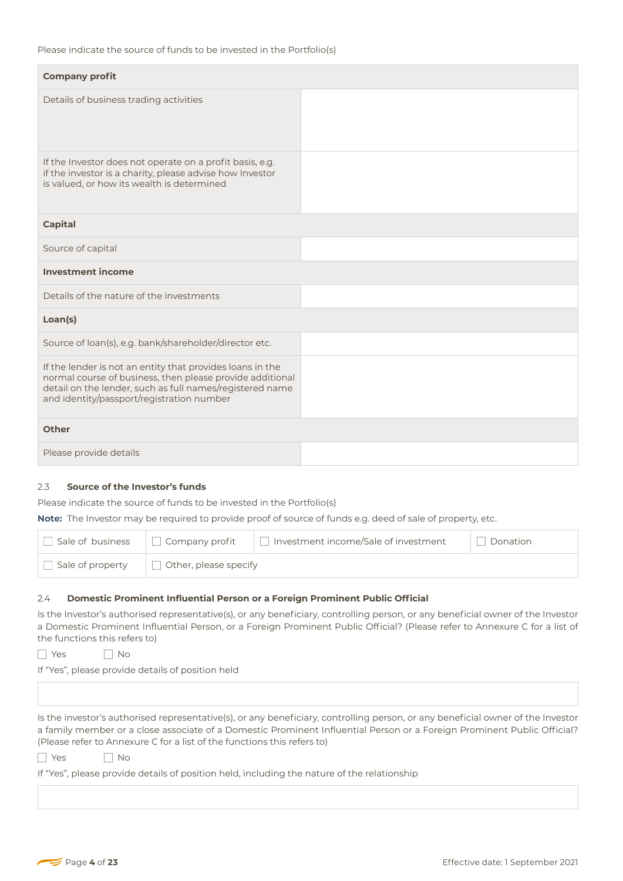| <b>Company profit</b>                                                                                                                                                                                                           |  |
|---------------------------------------------------------------------------------------------------------------------------------------------------------------------------------------------------------------------------------|--|
| Details of business trading activities                                                                                                                                                                                          |  |
| If the Investor does not operate on a profit basis, e.g.<br>if the investor is a charity, please advise how Investor<br>is valued, or how its wealth is determined                                                              |  |
| <b>Capital</b>                                                                                                                                                                                                                  |  |
| Source of capital                                                                                                                                                                                                               |  |
| <b>Investment income</b>                                                                                                                                                                                                        |  |
| Details of the nature of the investments                                                                                                                                                                                        |  |
| Loan(s)                                                                                                                                                                                                                         |  |
| Source of loan(s), e.g. bank/shareholder/director etc.                                                                                                                                                                          |  |
| If the lender is not an entity that provides loans in the<br>normal course of business, then please provide additional<br>detail on the lender, such as full names/registered name<br>and identity/passport/registration number |  |
| <b>Other</b>                                                                                                                                                                                                                    |  |
| Please provide details                                                                                                                                                                                                          |  |
|                                                                                                                                                                                                                                 |  |

# 2.3 **Source of the Investor's funds**

Please indicate the source of funds to be invested in the Portfolio(s)

**Note:** The Investor may be required to provide proof of source of funds e.g. deed of sale of property, etc.

|                  | $\Box$ Sale of business $\Box$ Company profit | Investment income/Sale of investment | Donation |
|------------------|-----------------------------------------------|--------------------------------------|----------|
| Sale of property | $\Box$ Other, please specify                  |                                      |          |

### 2.4 **Domestic Prominent Influential Person or a Foreign Prominent Public Official**

Is the Investor's authorised representative(s), or any beneficiary, controlling person, or any beneficial owner of the Investor a Domestic Prominent Influential Person, or a Foreign Prominent Public Official? (Please refer to Annexure C for a list of the functions this refers to)

YesNo

If "Yes", please provide details of position held

Is the investor's authorised representative(s), or any beneficiary, controlling person, or any beneficial owner of the Investor a family member or a close associate of a Domestic Prominent Influential Person or a Foreign Prominent Public Official? (Please refer to Annexure C for a list of the functions this refers to)

YesNo

If "Yes", please provide details of position held, including the nature of the relationship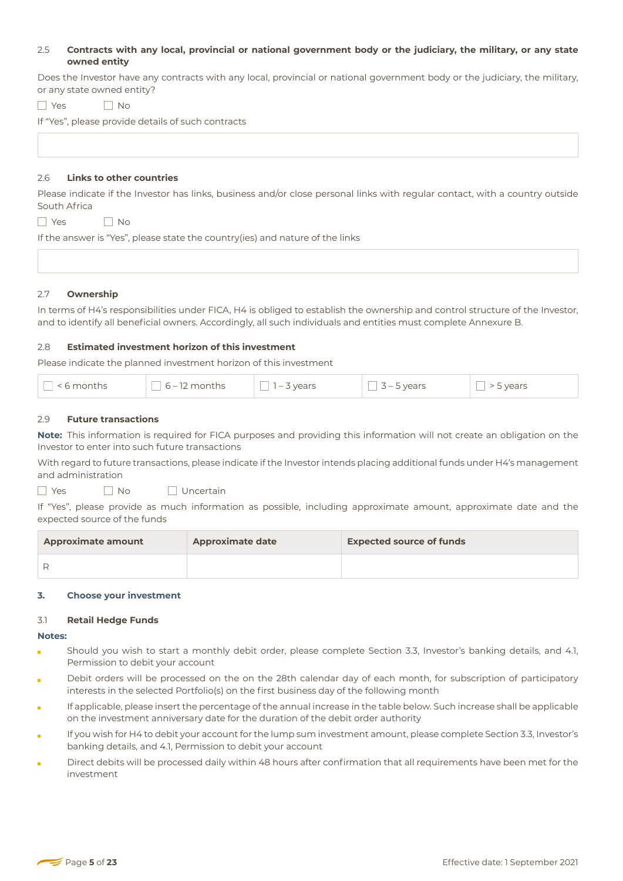# 2.5 **Contracts with any local, provincial or national government body or the judiciary, the military, or any state owned entity**

Does the Investor have any contracts with any local, provincial or national government body or the judiciary, the military, or any state owned entity?

YesNo

If "Yes", please provide details of such contracts

# 2.6 **Links to other countries**

Please indicate if the Investor has links, business and/or close personal links with regular contact, with a country outside South Africa

YesNo

If the answer is "Yes", please state the country(ies) and nature of the links

# 2.7 **Ownership**

In terms of H4's responsibilities under FICA, H4 is obliged to establish the ownership and control structure of the Investor, and to identify all beneficial owners. Accordingly, all such individuals and entities must complete Annexure B.

# 2.8 **Estimated investment horizon of this investment**

Please indicate the planned investment horizon of this investment

# 2.9 **Future transactions**

**Note:** This information is required for FICA purposes and providing this information will not create an obligation on the Investor to enter into such future transactions

With regard to future transactions, please indicate if the Investor intends placing additional funds under H4's management and administration

□ Yes □ No □ Uncertain

If "Yes", please provide as much information as possible, including approximate amount, approximate date and the expected source of the funds

| <b>Approximate amount</b> | <b>Approximate date</b> | <b>Expected source of funds</b> |
|---------------------------|-------------------------|---------------------------------|
|                           |                         |                                 |
|                           |                         |                                 |

### **3. Choose your investment**

### 3.1 **Retail Hedge Funds**

**Notes:**

- Should you wish to start a monthly debit order, please complete Section 3.3, Investor's banking details, and 4.1, Permission to debit your account
- Debit orders will be processed on the on the 28th calendar day of each month, for subscription of participatory interests in the selected Portfolio(s) on the first business day of the following month
- If applicable, please insert the percentage of the annual increase in the table below. Such increase shall be applicable on the investment anniversary date for the duration of the debit order authority
- If you wish for H4 to debit your account for the lump sum investment amount, please complete Section 3.3, Investor's banking details, and 4.1, Permission to debit your account
- Direct debits will be processed daily within 48 hours after confirmation that all requirements have been met for the investment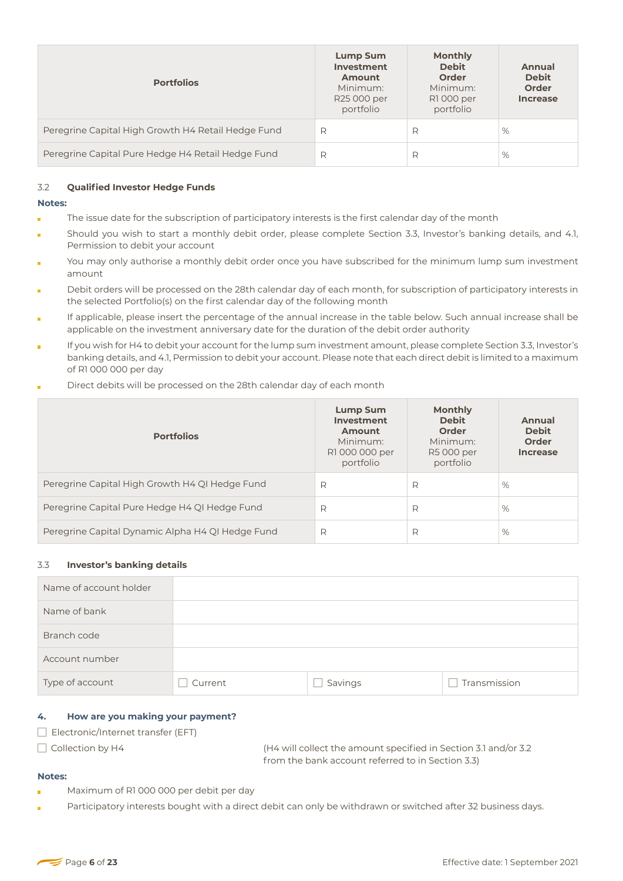| <b>Portfolios</b>                                  | Lump Sum<br>Investment<br><b>Amount</b><br>Minimum:<br>R25 000 per<br>portfolio | <b>Monthly</b><br><b>Debit</b><br>Order<br>Minimum:<br>R1 000 per<br>portfolio | Annual<br><b>Debit</b><br>Order<br><b>Increase</b> |
|----------------------------------------------------|---------------------------------------------------------------------------------|--------------------------------------------------------------------------------|----------------------------------------------------|
| Peregrine Capital High Growth H4 Retail Hedge Fund | R                                                                               | R                                                                              | %                                                  |
| Peregrine Capital Pure Hedge H4 Retail Hedge Fund  | R                                                                               | R                                                                              | %                                                  |

# 3.2 **Qualified Investor Hedge Funds**

### **Notes:**

- The issue date for the subscription of participatory interests is the first calendar day of the month ÷
- Should you wish to start a monthly debit order, please complete Section 3.3, Investor's banking details, and 4.1, Permission to debit your account
- You may only authorise a monthly debit order once you have subscribed for the minimum lump sum investment amount
- Debit orders will be processed on the 28th calendar day of each month, for subscription of participatory interests in the selected Portfolio(s) on the first calendar day of the following month
- If applicable, please insert the percentage of the annual increase in the table below. Such annual increase shall be applicable on the investment anniversary date for the duration of the debit order authority
- If you wish for H4 to debit your account for the lump sum investment amount, please complete Section 3.3, Investor's banking details, and 4.1, Permission to debit your account. Please note that each direct debit is limited to a maximum of R1 000 000 per day
- Direct debits will be processed on the 28th calendar day of each month

| <b>Portfolios</b>                                | <b>Lump Sum</b><br>Investment<br>Amount<br>Minimum:<br>R1 000 000 per<br>portfolio | <b>Monthly</b><br><b>Debit</b><br>Order<br>Minimum:<br>R5 000 per<br>portfolio | Annual<br><b>Debit</b><br><b>Order</b><br><b>Increase</b> |
|--------------------------------------------------|------------------------------------------------------------------------------------|--------------------------------------------------------------------------------|-----------------------------------------------------------|
| Peregrine Capital High Growth H4 QI Hedge Fund   | R                                                                                  | R                                                                              | %                                                         |
| Peregrine Capital Pure Hedge H4 QI Hedge Fund    | R                                                                                  | R                                                                              | %                                                         |
| Peregrine Capital Dynamic Alpha H4 QI Hedge Fund | R                                                                                  | R                                                                              | %                                                         |

### 3.3 **Investor's banking details**

| Name of account holder |         |         |              |
|------------------------|---------|---------|--------------|
| Name of bank           |         |         |              |
| Branch code            |         |         |              |
| Account number         |         |         |              |
| Type of account        | Current | Savings | Transmission |

### **4. How are you making your payment?**

Electronic/Internet transfer (EFT)

Collection by H4 (H4 will collect the amount specified in Section 3.1 and/or 3.2 from the bank account referred to in Section 3.3)

### **Notes:**

- Maximum of R1 000 000 per debit per day
- Participatory interests bought with a direct debit can only be withdrawn or switched after 32 business days.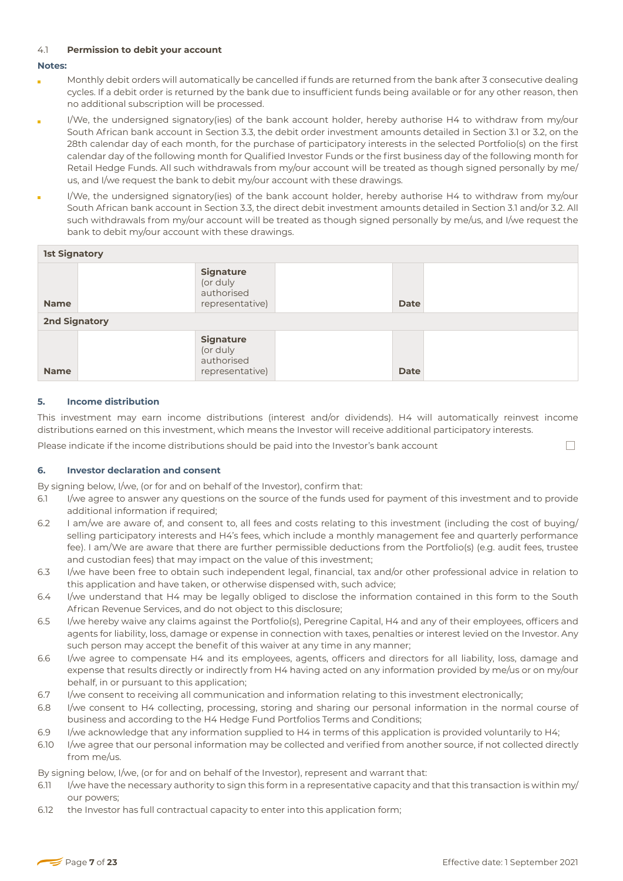# 4.1 **Permission to debit your account**

# **Notes:**

- Monthly debit orders will automatically be cancelled if funds are returned from the bank after 3 consecutive dealing cycles. If a debit order is returned by the bank due to insufficient funds being available or for any other reason, then no additional subscription will be processed.
- I/We, the undersigned signatory(ies) of the bank account holder, hereby authorise H4 to withdraw from my/our South African bank account in Section 3.3, the debit order investment amounts detailed in Section 3.1 or 3.2, on the 28th calendar day of each month, for the purchase of participatory interests in the selected Portfolio(s) on the first calendar day of the following month for Qualified Investor Funds or the first business day of the following month for Retail Hedge Funds. All such withdrawals from my/our account will be treated as though signed personally by me/ us, and I/we request the bank to debit my/our account with these drawings.
- I/We, the undersigned signatory(ies) of the bank account holder, hereby authorise H4 to withdraw from my/our South African bank account in Section 3.3, the direct debit investment amounts detailed in Section 3.1 and/or 3.2. All such withdrawals from my/our account will be treated as though signed personally by me/us, and I/we request the bank to debit my/our account with these drawings.

| <b>1st Signatory</b> |                                                               |             |  |
|----------------------|---------------------------------------------------------------|-------------|--|
| <b>Name</b>          | <b>Signature</b><br>(or duly<br>authorised<br>representative) | <b>Date</b> |  |
| <b>2nd Signatory</b> |                                                               |             |  |
| <b>Name</b>          | <b>Signature</b><br>(or duly<br>authorised<br>representative) | <b>Date</b> |  |

# **5. Income distribution**

This investment may earn income distributions (interest and/or dividends). H4 will automatically reinvest income distributions earned on this investment, which means the Investor will receive additional participatory interests.

Please indicate if the income distributions should be paid into the Investor's bank account

 $\Box$ 

# **6. Investor declaration and consent**

By signing below, I/we, (or for and on behalf of the Investor), confirm that:

- 6.1 I/we agree to answer any questions on the source of the funds used for payment of this investment and to provide additional information if required:
- 6.2 I am/we are aware of, and consent to, all fees and costs relating to this investment (including the cost of buying/ selling participatory interests and H4's fees, which include a monthly management fee and quarterly performance fee). I am/We are aware that there are further permissible deductions from the Portfolio(s) (e.g. audit fees, trustee and custodian fees) that may impact on the value of this investment;
- 6.3 I/we have been free to obtain such independent legal, financial, tax and/or other professional advice in relation to this application and have taken, or otherwise dispensed with, such advice;
- 6.4 I/we understand that H4 may be legally obliged to disclose the information contained in this form to the South African Revenue Services, and do not object to this disclosure;
- 6.5 I/we hereby waive any claims against the Portfolio(s), Peregrine Capital, H4 and any of their employees, officers and agents for liability, loss, damage or expense in connection with taxes, penalties or interest levied on the Investor. Any such person may accept the benefit of this waiver at any time in any manner;
- 6.6 I/we agree to compensate H4 and its employees, agents, officers and directors for all liability, loss, damage and expense that results directly or indirectly from H4 having acted on any information provided by me/us or on my/our behalf, in or pursuant to this application;
- 6.7 I/we consent to receiving all communication and information relating to this investment electronically;
- 6.8 I/we consent to H4 collecting, processing, storing and sharing our personal information in the normal course of business and according to the H4 Hedge Fund Portfolios Terms and Conditions;
- 6.9 I/we acknowledge that any information supplied to H4 in terms of this application is provided voluntarily to H4;
- 6.10 I/we agree that our personal information may be collected and verified from another source, if not collected directly from me/us.

By signing below, I/we, (or for and on behalf of the Investor), represent and warrant that:

- 6.11 I/we have the necessary authority to sign this form in a representative capacity and that this transaction is within my/ our powers;
- 6.12 the Investor has full contractual capacity to enter into this application form;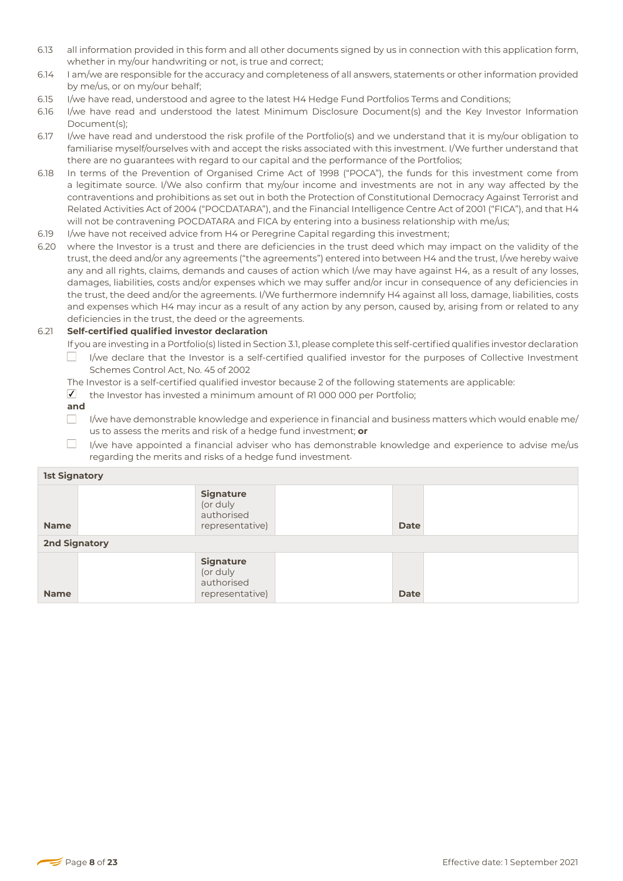- 6.13 all information provided in this form and all other documents signed by us in connection with this application form, whether in my/our handwriting or not, is true and correct;
- 6.14 I am/we are responsible for the accuracy and completeness of all answers, statements or other information provided by me/us, or on my/our behalf;
- 6.15 *I/we have read, understood and agree to the latest H4 Hedge Fund Portfolios Terms and Conditions;*
- 6.16 I/we have read and understood the latest Minimum Disclosure Document(s) and the Key Investor Information Document(s);
- 6.17 I/we have read and understood the risk profile of the Portfolio(s) and we understand that it is my/our obligation to familiarise myself/ourselves with and accept the risks associated with this investment. I/We further understand that there are no guarantees with regard to our capital and the performance of the Portfolios;
- 6.18 In terms of the Prevention of Organised Crime Act of 1998 ("POCA"), the funds for this investment come from a legitimate source. I/We also confirm that my/our income and investments are not in any way affected by the contraventions and prohibitions as set out in both the Protection of Constitutional Democracy Against Terrorist and Related Activities Act of 2004 ("POCDATARA"), and the Financial Intelligence Centre Act of 2001 ("FICA"), and that H4 will not be contravening POCDATARA and FICA by entering into a business relationship with me/us;
- 6.19 I/we have not received advice from H4 or Peregrine Capital regarding this investment;
- 6.20 where the Investor is a trust and there are deficiencies in the trust deed which may impact on the validity of the trust, the deed and/or any agreements ("the agreements") entered into between H4 and the trust, I/we hereby waive any and all rights, claims, demands and causes of action which I/we may have against H4, as a result of any losses, damages, liabilities, costs and/or expenses which we may suffer and/or incur in consequence of any deficiencies in the trust, the deed and/or the agreements. I/We furthermore indemnify H4 against all loss, damage, liabilities, costs and expenses which H4 may incur as a result of any action by any person, caused by, arising from or related to any deficiencies in the trust, the deed or the agreements.

# 6.21 **Self-certified qualified investor declaration**

- If you are investing in a Portfolio(s) listed in Section 3.1, please complete this self-certified qualifies investor declaration  $\Box$ I/we declare that the Investor is a self-certified qualified investor for the purposes of Collective Investment
- Schemes Control Act, No. 45 of 2002
- The Investor is a self-certified qualified investor because 2 of the following statements are applicable:
- $I$  the Investor has invested a minimum amount of R1 000 000 per Portfolio;
- **and**
- $\Box$ I/we have demonstrable knowledge and experience in financial and business matters which would enable me/ us to assess the merits and risk of a hedge fund investment; **or**
- $\Box$ I/we have appointed a financial adviser who has demonstrable knowledge and experience to advise me/us regarding the merits and risks of a hedge fund investment.

| <b>1st Signatory</b> |                                                               |             |  |
|----------------------|---------------------------------------------------------------|-------------|--|
| <b>Name</b>          | <b>Signature</b><br>(or duly<br>authorised<br>representative) | <b>Date</b> |  |
| <b>2nd Signatory</b> |                                                               |             |  |
| <b>Name</b>          | <b>Signature</b><br>(or duly<br>authorised<br>representative) | <b>Date</b> |  |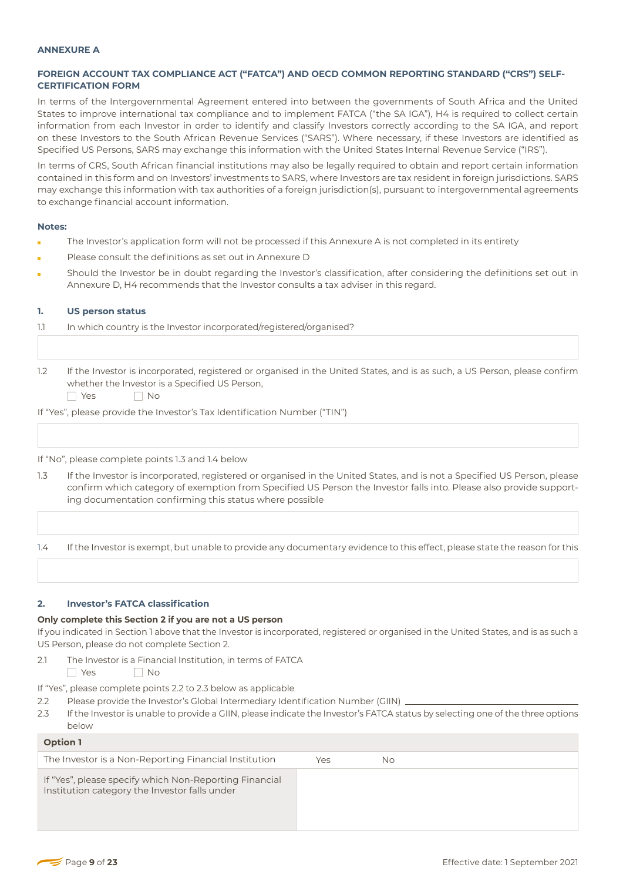#### **ANNEXURE A**

# **FOREIGN ACCOUNT TAX COMPLIANCE ACT ("FATCA") AND OECD COMMON REPORTING STANDARD ("CRS") SELF-CERTIFICATION FORM**

In terms of the Intergovernmental Agreement entered into between the governments of South Africa and the United States to improve international tax compliance and to implement FATCA ("the SA IGA"), H4 is required to collect certain information from each Investor in order to identify and classify Investors correctly according to the SA IGA, and report on these Investors to the South African Revenue Services ("SARS"). Where necessary, if these Investors are identified as Specified US Persons, SARS may exchange this information with the United States Internal Revenue Service ("IRS").

In terms of CRS, South African financial institutions may also be legally required to obtain and report certain information contained in this form and on Investors' investments to SARS, where Investors are tax resident in foreign jurisdictions. SARS may exchange this information with tax authorities of a foreign jurisdiction(s), pursuant to intergovernmental agreements to exchange financial account information.

#### **Notes:**

- The Investor's application form will not be processed if this Annexure A is not completed in its entirety
- Please consult the definitions as set out in Annexure D
- Should the Investor be in doubt regarding the Investor's classification, after considering the definitions set out in Annexure D, H4 recommends that the Investor consults a tax adviser in this regard.

#### **1. US person status**

| 1.1 |  | In which country is the Investor incorporated/registered/organised? |  |
|-----|--|---------------------------------------------------------------------|--|
|     |  |                                                                     |  |

- 1.2 If the Investor is incorporated, registered or organised in the United States, and is as such, a US Person, please confirm whether the Investor is a Specified US Person,
	- YesNo

If "Yes", please provide the Investor's Tax Identification Number ("TIN")

#### If "No", please complete points 1.3 and 1.4 below

1.3 If the Investor is incorporated, registered or organised in the United States, and is not a Specified US Person, please confirm which category of exemption from Specified US Person the Investor falls into. Please also provide supporting documentation confirming this status where possible

1.4 If the Investor is exempt, but unable to provide any documentary evidence to this effect, please state the reason for this

### **2. Investor's FATCA classification**

#### **Only complete this Section 2 if you are not a US person**

If you indicated in Section 1 above that the Investor is incorporated, registered or organised in the United States, and is as such a US Person, please do not complete Section 2.

2.1 The Investor is a Financial Institution, in terms of FATCA

YesNo

If "Yes", please complete points 2.2 to 2.3 below as applicable

- 2.2 Please provide the Investor's Global Intermediary Identification Number (GIIN).
- 2.3 If the Investor is unable to provide a GIIN, please indicate the Investor's FATCA status by selecting one of the three options below

| <b>Option 1</b>                                                                                         |     |    |
|---------------------------------------------------------------------------------------------------------|-----|----|
| The Investor is a Non-Reporting Financial Institution                                                   | Yes | No |
| If "Yes", please specify which Non-Reporting Financial<br>Institution category the Investor falls under |     |    |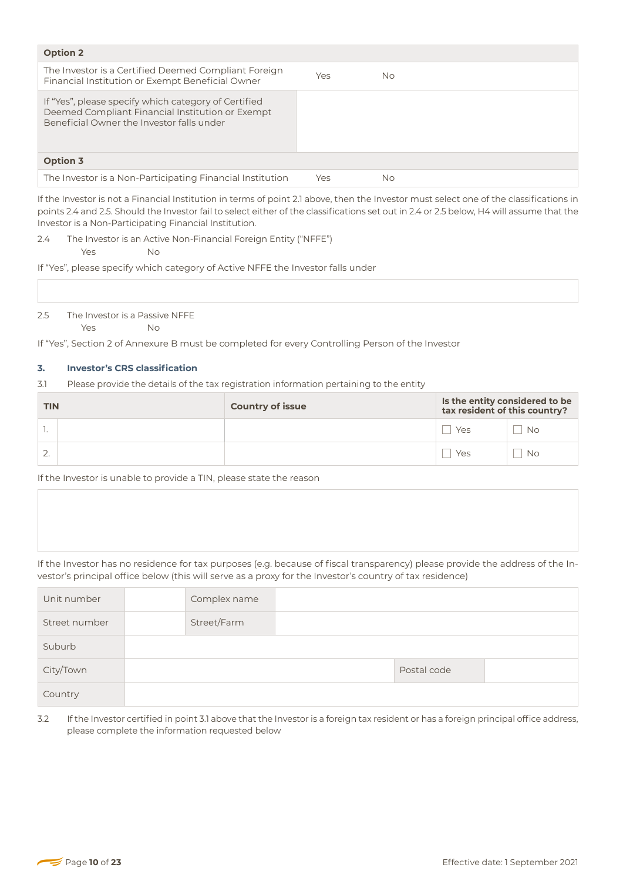| <b>Option 2</b>                                                                                                                                       |     |           |
|-------------------------------------------------------------------------------------------------------------------------------------------------------|-----|-----------|
| The Investor is a Certified Deemed Compliant Foreign<br>Financial Institution or Exempt Beneficial Owner                                              | Yes | <b>No</b> |
| If "Yes", please specify which category of Certified<br>Deemed Compliant Financial Institution or Exempt<br>Beneficial Owner the Investor falls under |     |           |
| <b>Option 3</b>                                                                                                                                       |     |           |
| The Investor is a Non-Participating Financial Institution                                                                                             | Yes | No        |

If the Investor is not a Financial Institution in terms of point 2.1 above, then the Investor must select one of the classifications in points 2.4 and 2.5. Should the Investor fail to select either of the classifications set out in 2.4 or 2.5 below, H4 will assume that the Investor is a Non-Participating Financial Institution.

2.4 The Investor is an Active Non-Financial Foreign Entity ("NFFE") YesNo

If "Yes", please specify which category of Active NFFE the Investor falls under

2.5 The Investor is a Passive NFFE YesNo

If "Yes", Section 2 of Annexure B must be completed for every Controlling Person of the Investor

# **3. Investor's CRS classification**

3.1 Please provide the details of the tax registration information pertaining to the entity

| <b>TIN</b> | <b>Country of issue</b> | Is the entity considered to be<br>tax resident of this country? |           |
|------------|-------------------------|-----------------------------------------------------------------|-----------|
|            |                         | Yes                                                             | <b>No</b> |
|            |                         | Yes                                                             | <b>No</b> |

If the Investor is unable to provide a TIN, please state the reason

If the Investor has no residence for tax purposes (e.g. because of fiscal transparency) please provide the address of the Investor's principal office below (this will serve as a proxy for the Investor's country of tax residence)

| Unit number   | Complex name |             |  |
|---------------|--------------|-------------|--|
| Street number | Street/Farm  |             |  |
| Suburb        |              |             |  |
| City/Town     |              | Postal code |  |
| Country       |              |             |  |

3.2 If the Investor certified in point 3.1 above that the Investor is a foreign tax resident or has a foreign principal office address, please complete the information requested below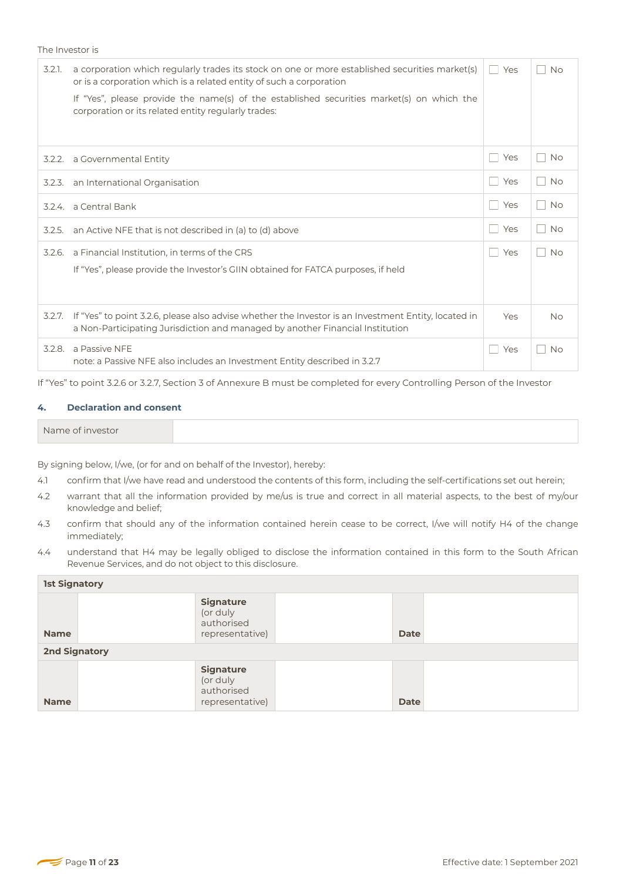The Investor is

| 3.2.1. | a corporation which regularly trades its stock on one or more established securities market(s)<br>or is a corporation which is a related entity of such a corporation<br>If "Yes", please provide the name(s) of the established securities market(s) on which the<br>corporation or its related entity regularly trades: | <b>Nes</b> | <b>No</b><br>L.                          |
|--------|---------------------------------------------------------------------------------------------------------------------------------------------------------------------------------------------------------------------------------------------------------------------------------------------------------------------------|------------|------------------------------------------|
|        | 3.2.2. a Governmental Entity                                                                                                                                                                                                                                                                                              | l Yes      | <b>No</b><br>L                           |
|        | 3.2.3. an International Organisation                                                                                                                                                                                                                                                                                      | l Yes      | <b>No</b><br>$\mathbf{L}$                |
|        | 3.2.4. a Central Bank                                                                                                                                                                                                                                                                                                     | l Yes      | <b>No</b><br>e e                         |
| 3.2.5. | an Active NFE that is not described in (a) to (d) above                                                                                                                                                                                                                                                                   | l Yes      | <b>No</b><br>$\mathbb{F}^{\mathbb{Z}^d}$ |
| 3.2.6. | a Financial Institution, in terms of the CRS<br>If "Yes", please provide the Investor's GIIN obtained for FATCA purposes, if held                                                                                                                                                                                         | l Yes      | <b>No</b><br>L.                          |
|        | 3.2.7. If "Yes" to point 3.2.6, please also advise whether the Investor is an Investment Entity, located in<br>a Non-Participating Jurisdiction and managed by another Financial Institution                                                                                                                              | <b>Nes</b> | <b>No</b><br>L.                          |
|        | 3.2.8. a Passive NFE<br>note: a Passive NFE also includes an Investment Entity described in 3.2.7                                                                                                                                                                                                                         | Yes        | <b>No</b><br>r.                          |

If "Yes" to point 3.2.6 or 3.2.7, Section 3 of Annexure B must be completed for every Controlling Person of the Investor

### **4. Declaration and consent**

By signing below, I/we, (or for and on behalf of the Investor), hereby:

- 4.1 confirm that I/we have read and understood the contents of this form, including the self-certifications set out herein;
- 4.2 warrant that all the information provided by me/us is true and correct in all material aspects, to the best of my/our knowledge and belief;
- 4.3 confirm that should any of the information contained herein cease to be correct, I/we will notify H4 of the change immediately;
- 4.4 understand that H4 may be legally obliged to disclose the information contained in this form to the South African Revenue Services, and do not object to this disclosure.

| <b>1st Signatory</b> |                                                               |  |             |  |  |
|----------------------|---------------------------------------------------------------|--|-------------|--|--|
| <b>Name</b>          | <b>Signature</b><br>(or duly<br>authorised<br>representative) |  | <b>Date</b> |  |  |
| <b>2nd Signatory</b> |                                                               |  |             |  |  |
| <b>Name</b>          | <b>Signature</b><br>(or duly<br>authorised<br>representative) |  | <b>Date</b> |  |  |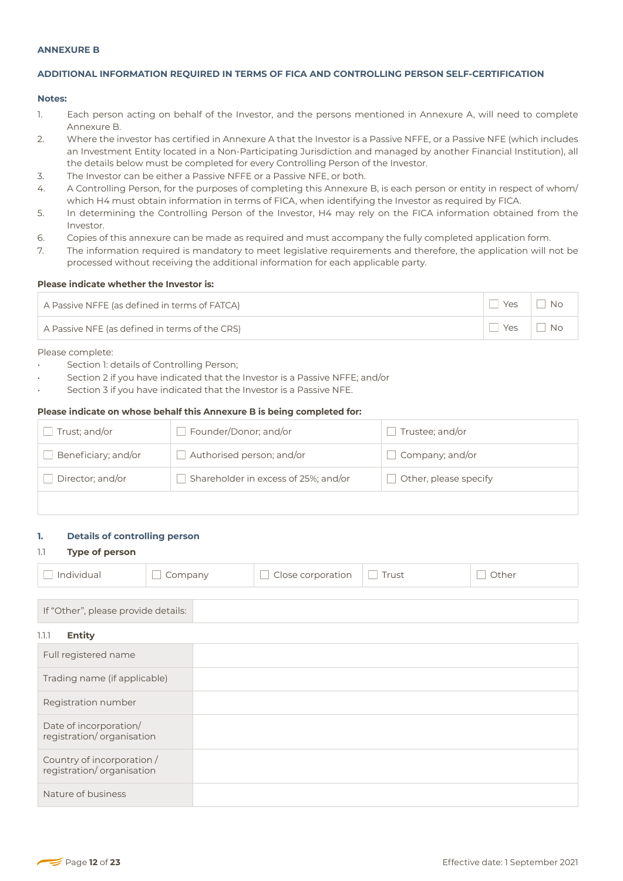### **ANNEXURE B**

# **ADDITIONAL INFORMATION REQUIRED IN TERMS OF FICA AND CONTROLLING PERSON SELF-CERTIFICATION**

### **Notes:**

- 1. Each person acting on behalf of the Investor, and the persons mentioned in Annexure A, will need to complete Annexure B.
- 2. Where the investor has certified in Annexure A that the Investor is a Passive NFFE, or a Passive NFE (which includes an Investment Entity located in a Non-Participating Jurisdiction and managed by another Financial Institution), all the details below must be completed for every Controlling Person of the Investor.
- 3. The Investor can be either a Passive NFFE or a Passive NFE, or both.
- 4. A Controlling Person, for the purposes of completing this Annexure B, is each person or entity in respect of whom/ which H4 must obtain information in terms of FICA, when identifying the Investor as required by FICA.
- 5. In determining the Controlling Person of the Investor, H4 may rely on the FICA information obtained from the Investor.
- 6. Copies of this annexure can be made as required and must accompany the fully completed application form.
- 7. The information required is mandatory to meet legislative requirements and therefore, the application will not be processed without receiving the additional information for each applicable party.

#### **Please indicate whether the Investor is:**

| A Passive NFFE (as defined in terms of FATCA)  | Yes | <b>No</b> |
|------------------------------------------------|-----|-----------|
| A Passive NFE (as defined in terms of the CRS) | Yes | <b>No</b> |

Please complete:

- Section 1: details of Controlling Person;
- Section 2 if you have indicated that the Investor is a Passive NFFE; and/or
- Section 3 if you have indicated that the Investor is a Passive NFE.

#### **Please indicate on whose behalf this Annexure B is being completed for:**

| Trust; and/or       | Founder/Donor; and/or                | Trustee; and/or       |
|---------------------|--------------------------------------|-----------------------|
| Beneficiary; and/or | Authorised person; and/or            | Company; and/or       |
| Director; and/or    | Shareholder in excess of 25%; and/or | Other, please specify |
|                     |                                      |                       |

#### **1. Details of controlling person**

#### 1.1 **Type of person**

|--|

# If "Other", please provide details:

# 1.1.1 **Entity**

| Full registered name                                    |  |
|---------------------------------------------------------|--|
| Trading name (if applicable)                            |  |
| Registration number                                     |  |
| Date of incorporation/<br>registration/organisation     |  |
| Country of incorporation /<br>registration/organisation |  |
| Nature of business                                      |  |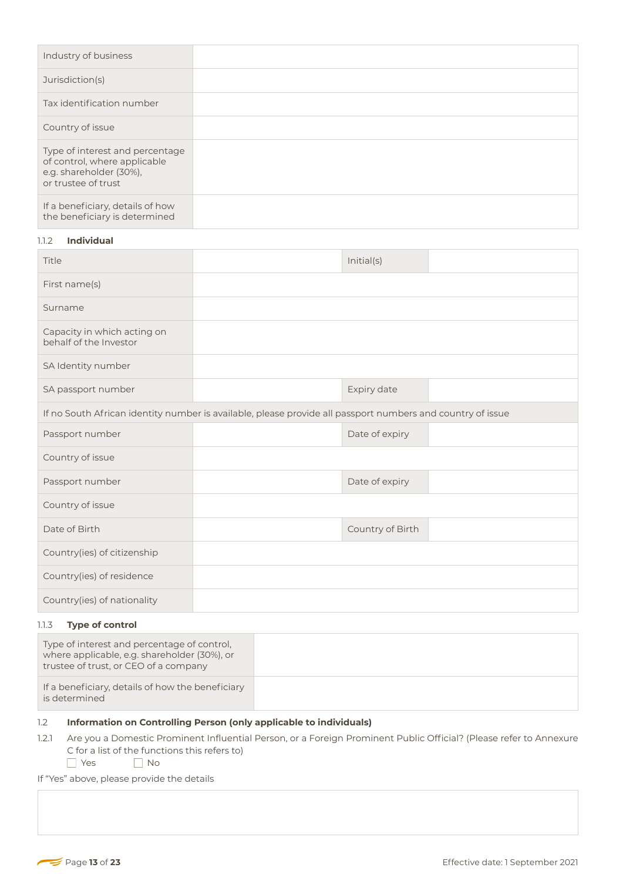| Industry of business                                                                                              |  |
|-------------------------------------------------------------------------------------------------------------------|--|
| Jurisdiction(s)                                                                                                   |  |
| Tax identification number                                                                                         |  |
| Country of issue                                                                                                  |  |
| Type of interest and percentage<br>of control, where applicable<br>e.g. shareholder (30%),<br>or trustee of trust |  |
| If a beneficiary, details of how<br>the beneficiary is determined                                                 |  |

# 1.1.2 **Individual**

| Title                                                                                                      |  | Initial(s)       |  |  |
|------------------------------------------------------------------------------------------------------------|--|------------------|--|--|
| First name(s)                                                                                              |  |                  |  |  |
| Surname                                                                                                    |  |                  |  |  |
| Capacity in which acting on<br>behalf of the Investor                                                      |  |                  |  |  |
| SA Identity number                                                                                         |  |                  |  |  |
| SA passport number                                                                                         |  | Expiry date      |  |  |
| If no South African identity number is available, please provide all passport numbers and country of issue |  |                  |  |  |
| Passport number                                                                                            |  | Date of expiry   |  |  |
| Country of issue                                                                                           |  |                  |  |  |
| Passport number                                                                                            |  | Date of expiry   |  |  |
| Country of issue                                                                                           |  |                  |  |  |
| Date of Birth                                                                                              |  | Country of Birth |  |  |
| Country(ies) of citizenship                                                                                |  |                  |  |  |
| Country(ies) of residence                                                                                  |  |                  |  |  |
| Country(ies) of nationality                                                                                |  |                  |  |  |

# 1.1.3 **Type of control**

| Type of interest and percentage of control,<br>where applicable, e.g. shareholder (30%), or<br>trustee of trust, or CEO of a company |  |
|--------------------------------------------------------------------------------------------------------------------------------------|--|
| If a beneficiary, details of how the beneficiary<br>is determined                                                                    |  |

# 1.2 **Information on Controlling Person (only applicable to individuals)**

- 1.2.1 Are you a Domestic Prominent Influential Person, or a Foreign Prominent Public Official? (Please refer to Annexure C for a list of the functions this refers to)
	- YesNo

If "Yes" above, please provide the details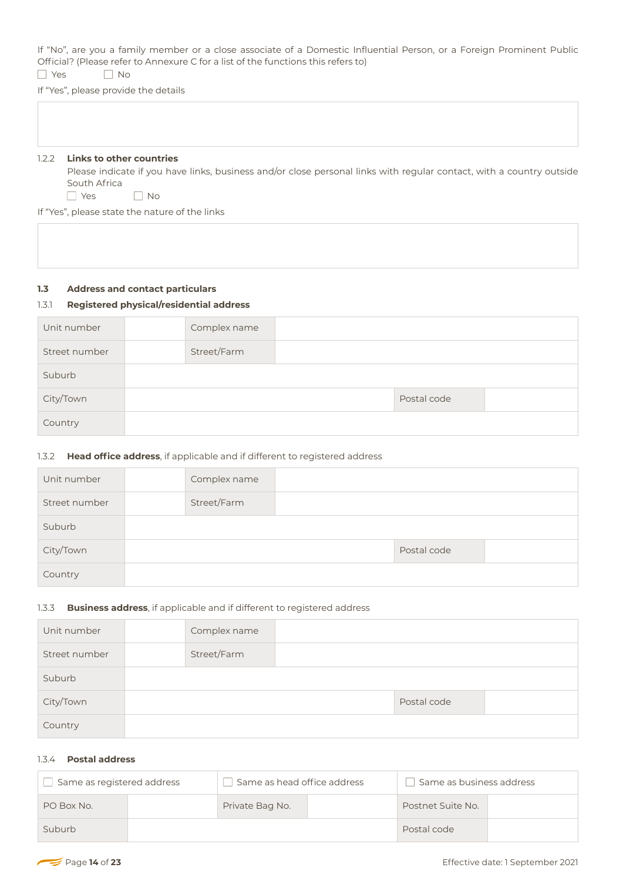If "No", are you a family member or a close associate of a Domestic Influential Person, or a Foreign Prominent Public Official? (Please refer to Annexure C for a list of the functions this refers to) YesNo

If "Yes", please provide the details

#### 1.2.2 **Links to other countries**

Please indicate if you have links, business and/or close personal links with regular contact, with a country outside South Africa

YesNo

If "Yes", please state the nature of the links

# **1.3 Address and contact particulars**

# 1.3.1 **Registered physical/residential address**

| Unit number   | Complex name |             |  |
|---------------|--------------|-------------|--|
| Street number | Street/Farm  |             |  |
| Suburb        |              |             |  |
| City/Town     |              | Postal code |  |
| Country       |              |             |  |

# 1.3.2 **Head office address**, if applicable and if different to registered address

| Unit number   | Complex name |             |  |
|---------------|--------------|-------------|--|
| Street number | Street/Farm  |             |  |
| Suburb        |              |             |  |
| City/Town     |              | Postal code |  |
| Country       |              |             |  |

# 1.3.3 **Business address**, if applicable and if different to registered address

| Unit number   | Complex name |             |  |
|---------------|--------------|-------------|--|
| Street number | Street/Farm  |             |  |
| Suburb        |              |             |  |
| City/Town     |              | Postal code |  |
| Country       |              |             |  |

# 1.3.4 **Postal address**

| Same as registered address |  | Same as head office address |  | Same as business address |  |
|----------------------------|--|-----------------------------|--|--------------------------|--|
| PO Box No.                 |  | Private Bag No.             |  | Postnet Suite No.        |  |
| Suburb                     |  |                             |  | Postal code              |  |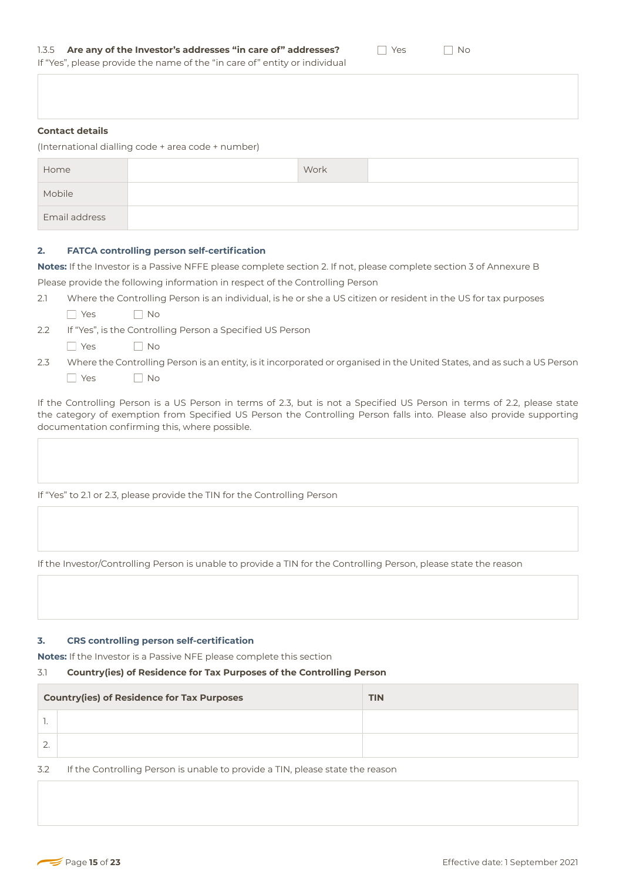**Contact details** 

(International dialling code + area code + number)

| Home          | Work |  |
|---------------|------|--|
| Mobile        |      |  |
| Email address |      |  |

### **2. FATCA controlling person self-certification**

**Notes:** If the Investor is a Passive NFFE please complete section 2. If not, please complete section 3 of Annexure B Please provide the following information in respect of the Controlling Person

- 2.1 Where the Controlling Person is an individual, is he or she a US citizen or resident in the US for tax purposes
	- Yes No
- 2.2 If "Yes", is the Controlling Person a Specified US Person
	- **No** Yes **No**
- 2.3 Where the Controlling Person is an entity, is it incorporated or organised in the United States, and as such a US Person **No** Yes No

If the Controlling Person is a US Person in terms of 2.3, but is not a Specified US Person in terms of 2.2, please state the category of exemption from Specified US Person the Controlling Person falls into. Please also provide supporting documentation confirming this, where possible.

If "Yes" to 2.1 or 2.3, please provide the TIN for the Controlling Person

If the Investor/Controlling Person is unable to provide a TIN for the Controlling Person, please state the reason

### **3. CRS controlling person self-certification**

**Notes:** If the Investor is a Passive NFE please complete this section

# 3.1 **Country(ies) of Residence for Tax Purposes of the Controlling Person**

|          | <b>Country(ies) of Residence for Tax Purposes</b> | <b>TIN</b> |
|----------|---------------------------------------------------|------------|
|          |                                                   |            |
| <u>.</u> |                                                   |            |

3.2 If the Controlling Person is unable to provide a TIN, please state the reason

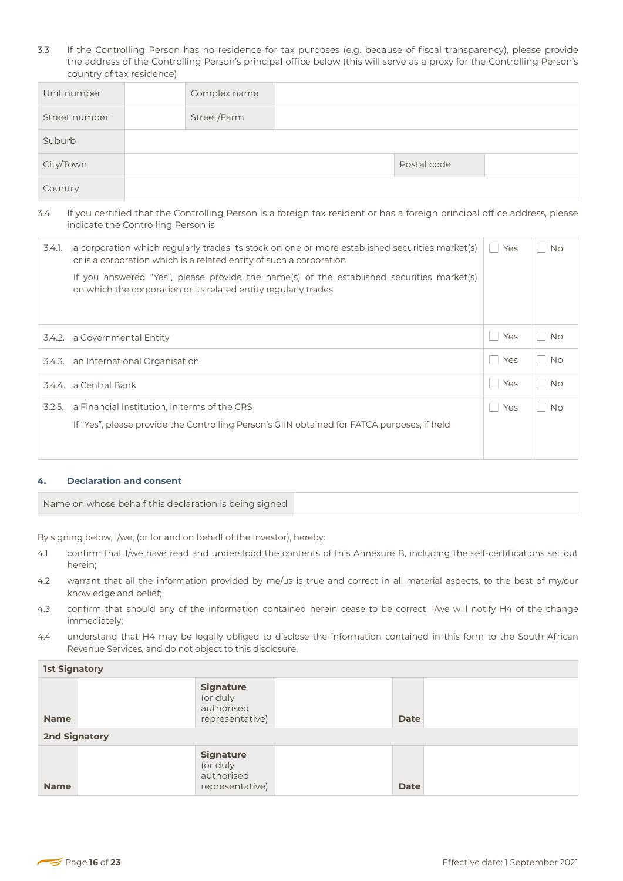3.3 If the Controlling Person has no residence for tax purposes (e.g. because of fiscal transparency), please provide the address of the Controlling Person's principal office below (this will serve as a proxy for the Controlling Person's country of tax residence)

| Unit number   | Complex name |             |  |
|---------------|--------------|-------------|--|
| Street number | Street/Farm  |             |  |
| Suburb        |              |             |  |
| City/Town     |              | Postal code |  |
| Country       |              |             |  |

# 3.4 If you certified that the Controlling Person is a foreign tax resident or has a foreign principal office address, please indicate the Controlling Person is

| 3.4.1. | a corporation which regularly trades its stock on one or more established securities market(s)<br>or is a corporation which is a related entity of such a corporation | Yes | <b>No</b> |
|--------|-----------------------------------------------------------------------------------------------------------------------------------------------------------------------|-----|-----------|
|        | If you answered "Yes", please provide the name(s) of the established securities market(s)<br>on which the corporation or its related entity regularly trades          |     |           |
|        |                                                                                                                                                                       |     |           |
|        | 3.4.2. a Governmental Entity                                                                                                                                          | Yes | <b>No</b> |
| 3.4.3. | an International Organisation                                                                                                                                         | Yes | <b>No</b> |
|        | 3.4.4. a Central Bank                                                                                                                                                 | Yes | <b>No</b> |
| 3.2.5. | a Financial Institution, in terms of the CRS                                                                                                                          | Yes | <b>No</b> |
|        | If "Yes", please provide the Controlling Person's GIIN obtained for FATCA purposes, if held                                                                           |     |           |
|        |                                                                                                                                                                       |     |           |

# **4. Declaration and consent**

| Name on whose behalf this declaration is being signed |
|-------------------------------------------------------|
|-------------------------------------------------------|

By signing below, I/we, (or for and on behalf of the Investor), hereby:

- 4.1 confirm that I/we have read and understood the contents of this Annexure B, including the self-certifications set out herein;
- 4.2 warrant that all the information provided by me/us is true and correct in all material aspects, to the best of my/our knowledge and belief;
- 4.3 confirm that should any of the information contained herein cease to be correct, I/we will notify H4 of the change immediately;
- 4.4 understand that H4 may be legally obliged to disclose the information contained in this form to the South African Revenue Services, and do not object to this disclosure.

| <b>1st Signatory</b> |                                                               |  |             |  |  |
|----------------------|---------------------------------------------------------------|--|-------------|--|--|
| <b>Name</b>          | <b>Signature</b><br>(or duly<br>authorised<br>representative) |  | <b>Date</b> |  |  |
| <b>2nd Signatory</b> |                                                               |  |             |  |  |
| <b>Name</b>          | <b>Signature</b><br>(or duly<br>authorised<br>representative) |  | <b>Date</b> |  |  |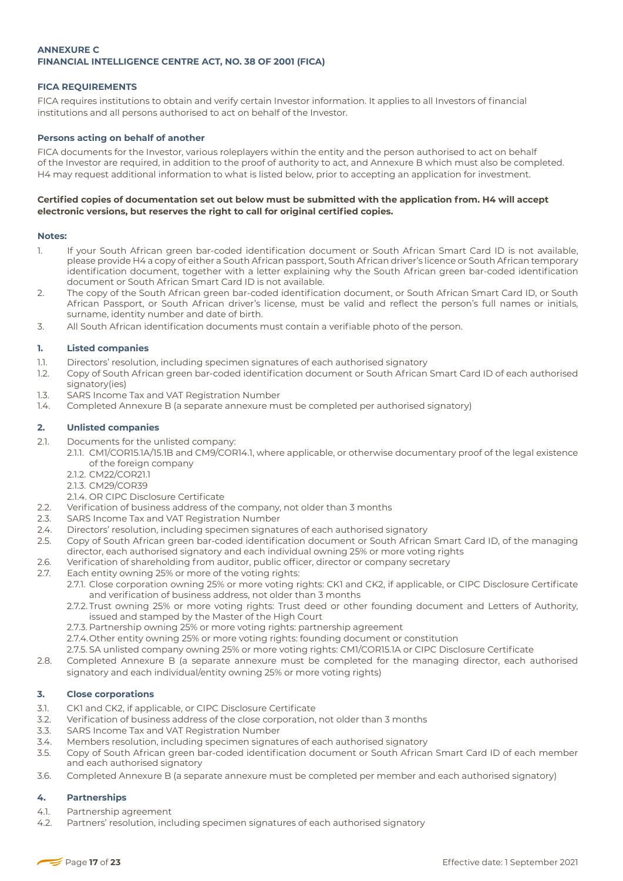# **ANNEXURE C FINANCIAL INTELLIGENCE CENTRE ACT, NO. 38 OF 2001 (FICA)**

# **FICA REQUIREMENTS**

FICA requires institutions to obtain and verify certain Investor information. It applies to all Investors of financial institutions and all persons authorised to act on behalf of the Investor.

# **Persons acting on behalf of another**

FICA documents for the Investor, various roleplayers within the entity and the person authorised to act on behalf of the Investor are required, in addition to the proof of authority to act, and Annexure B which must also be completed. H4 may request additional information to what is listed below, prior to accepting an application for investment.

# **Certified copies of documentation set out below must be submitted with the application from. H4 will accept electronic versions, but reserves the right to call for original certified copies.**

### **Notes:**

- 1. If your South African green bar-coded identification document or South African Smart Card ID is not available, please provide H4 a copy of either a South African passport, South African driver's licence or South African temporary identification document, together with a letter explaining why the South African green bar-coded identification document or South African Smart Card ID is not available.
- 2. The copy of the South African green bar-coded identification document, or South African Smart Card ID, or South African Passport, or South African driver's license, must be valid and reflect the person's full names or initials, surname, identity number and date of birth.
- 3. All South African identification documents must contain a verifiable photo of the person.

### **1. Listed companies**

- 1.1. Directors' resolution, including specimen signatures of each authorised signatory
- 1.2. Copy of South African green bar-coded identification document or South African Smart Card ID of each authorised signatory(ies)
- 1.3. SARS Income Tax and VAT Registration Number
- 1.4. Completed Annexure B (a separate annexure must be completed per authorised signatory)

# **2. Unlisted companies**

- 2.1. Documents for the unlisted company:
	- 2.1.1. CM1/COR15.1A/15.1B and CM9/COR14.1, where applicable, or otherwise documentary proof of the legal existence of the foreign company
		- 2.1.2. CM22/COR21.1
		- 2.1.3. CM29/COR39
	- 2.1.4. OR CIPC Disclosure Certificate
- 2.2. Verification of business address of the company, not older than 3 months
- 2.3. SARS Income Tax and VAT Registration Number
- 2.4. Directors' resolution, including specimen signatures of each authorised signatory
- 2.5. Copy of South African green bar-coded identification document or South African Smart Card ID, of the managing director, each authorised signatory and each individual owning 25% or more voting rights
- 2.6. Verification of shareholding from auditor, public officer, director or company secretary
- 2.7. Each entity owning 25% or more of the voting rights:
	- 2.7.1. Close corporation owning 25% or more voting rights: CK1 and CK2, if applicable, or CIPC Disclosure Certificate and verification of business address, not older than 3 months
	- 2.7.2. Trust owning 25% or more voting rights: Trust deed or other founding document and Letters of Authority, issued and stamped by the Master of the High Court
	- 2.7.3. Partnership owning 25% or more voting rights: partnership agreement
	- 2.7.4. Other entity owning 25% or more voting rights: founding document or constitution
	- 2.7.5. SA unlisted company owning 25% or more voting rights: CM1/COR15.1A or CIPC Disclosure Certificate
- 2.8. Completed Annexure B (a separate annexure must be completed for the managing director, each authorised signatory and each individual/entity owning 25% or more voting rights)

### **3. Close corporations**

- 3.1. CK1 and CK2, if applicable, or CIPC Disclosure Certificate
- 3.2. Verification of business address of the close corporation, not older than 3 months
- 3.3. SARS Income Tax and VAT Registration Number
- 3.4. Members resolution, including specimen signatures of each authorised signatory
- 3.5. Copy of South African green bar-coded identification document or South African Smart Card ID of each member and each authorised signatory
- 3.6. Completed Annexure B (a separate annexure must be completed per member and each authorised signatory)

# **4. Partnerships**

- 4.1. Partnership agreement
- 4.2. Partners' resolution, including specimen signatures of each authorised signatory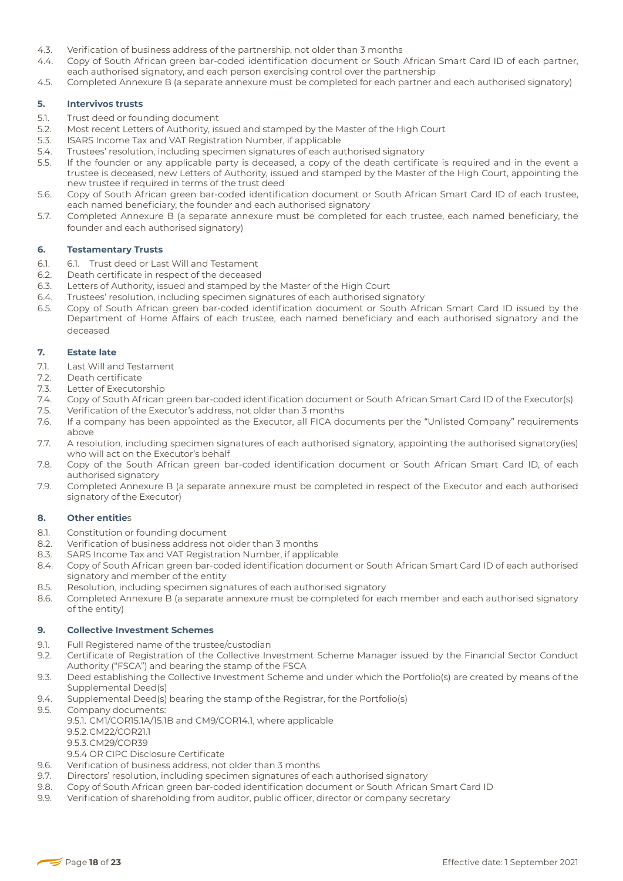- 4.3. Verification of business address of the partnership, not older than 3 months
- 4.4. Copy of South African green bar-coded identification document or South African Smart Card ID of each partner, each authorised signatory, and each person exercising control over the partnership
- 4.5. Completed Annexure B (a separate annexure must be completed for each partner and each authorised signatory)

# **5. Intervivos trusts**

- 5.1. Trust deed or founding document
- 5.2. Most recent Letters of Authority, issued and stamped by the Master of the High Court
- 5.3. ISARS Income Tax and VAT Registration Number, if applicable
- 5.4. Trustees' resolution, including specimen signatures of each authorised signatory
- 5.5. If the founder or any applicable party is deceased, a copy of the death certificate is required and in the event a trustee is deceased, new Letters of Authority, issued and stamped by the Master of the High Court, appointing the new trustee if required in terms of the trust deed
- 5.6. Copy of South African green bar-coded identification document or South African Smart Card ID of each trustee, each named beneficiary, the founder and each authorised signatory
- 5.7. Completed Annexure B (a separate annexure must be completed for each trustee, each named beneficiary, the founder and each authorised signatory)

### **6. Testamentary Trusts**

- 6.1. 6.1. Trust deed or Last Will and Testament
- 6.2. Death certificate in respect of the deceased
- 6.3. Letters of Authority, issued and stamped by the Master of the High Court
- 6.4. Trustees' resolution, including specimen signatures of each authorised signatory
- 6.5. Copy of South African green bar-coded identification document or South African Smart Card ID issued by the Department of Home Affairs of each trustee, each named beneficiary and each authorised signatory and the deceased

#### **7. Estate late**

- 7.1. Last Will and Testament
- 7.2. Death certificate
- 7.3. Letter of Executorship
- 7.4. Copy of South African green bar-coded identification document or South African Smart Card ID of the Executor(s)
- 7.5. Verification of the Executor's address, not older than 3 months
- 7.6. If a company has been appointed as the Executor, all FICA documents per the "Unlisted Company" requirements above
- 7.7. A resolution, including specimen signatures of each authorised signatory, appointing the authorised signatory(ies) who will act on the Executor's behalf
- 7.8. Copy of the South African green bar-coded identification document or South African Smart Card ID, of each authorised signatory
- 7.9. Completed Annexure B (a separate annexure must be completed in respect of the Executor and each authorised signatory of the Executor)

### **8. Other entitie**s

- 8.1. Constitution or founding document
- 8.2. Verification of business address not older than 3 months
- 8.3. SARS Income Tax and VAT Registration Number, if applicable
- 8.4. Copy of South African green bar-coded identification document or South African Smart Card ID of each authorised signatory and member of the entity
- 8.5. Resolution, including specimen signatures of each authorised signatory
- 8.6. Completed Annexure B (a separate annexure must be completed for each member and each authorised signatory of the entity)

### **9. Collective Investment Schemes**

- 9.1. Full Registered name of the trustee/custodian
- 9.2. Certificate of Registration of the Collective Investment Scheme Manager issued by the Financial Sector Conduct Authority ("FSCA") and bearing the stamp of the FSCA
- 9.3. Deed establishing the Collective Investment Scheme and under which the Portfolio(s) are created by means of the Supplemental Deed(s)
- 9.4. Supplemental Deed(s) bearing the stamp of the Registrar, for the Portfolio(s)
- 9.5. Company documents:
	- 9.5.1. CM1/COR15.1A/15.1B and CM9/COR14.1, where applicable 9.5.2.CM22/COR21.1
		- 9.5.3.CM29/COR39
	- 9.5.4 OR CIPC Disclosure Certificate
- 9.6. Verification of business address, not older than 3 months
- 9.7. Directors' resolution, including specimen signatures of each authorised signatory
- 9.8. Copy of South African green bar-coded identification document or South African Smart Card ID
- 9.9. Verification of shareholding from auditor, public officer, director or company secretary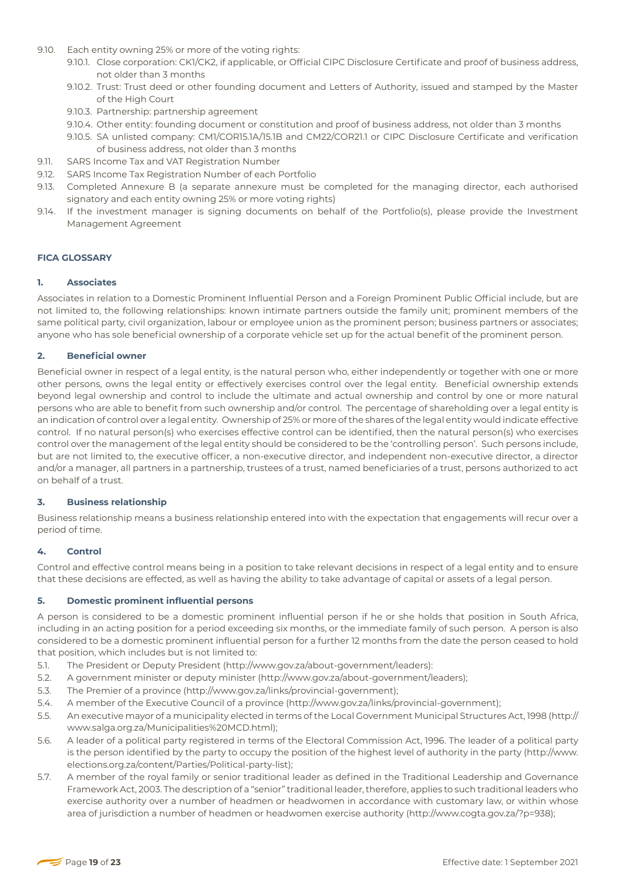- 9.10. Each entity owning 25% or more of the voting rights:
	- 9.10.1. Close corporation: CK1/CK2, if applicable, or Official CIPC Disclosure Certificate and proof of business address, not older than 3 months
	- 9.10.2. Trust: Trust deed or other founding document and Letters of Authority, issued and stamped by the Master of the High Court
	- 9.10.3. Partnership: partnership agreement
	- 9.10.4. Other entity: founding document or constitution and proof of business address, not older than 3 months
	- 9.10.5. SA unlisted company: CM1/COR15.1A/15.1B and CM22/COR21.1 or CIPC Disclosure Certificate and verification of business address, not older than 3 months
- 9.11. SARS Income Tax and VAT Registration Number
- 9.12. SARS Income Tax Registration Number of each Portfolio
- 9.13. Completed Annexure B (a separate annexure must be completed for the managing director, each authorised signatory and each entity owning 25% or more voting rights)
- 9.14. If the investment manager is signing documents on behalf of the Portfolio(s), please provide the Investment Management Agreement

### **FICA GLOSSARY**

### **1. Associates**

Associates in relation to a Domestic Prominent Influential Person and a Foreign Prominent Public Official include, but are not limited to, the following relationships: known intimate partners outside the family unit; prominent members of the same political party, civil organization, labour or employee union as the prominent person; business partners or associates; anyone who has sole beneficial ownership of a corporate vehicle set up for the actual benefit of the prominent person.

# **2. Beneficial owner**

Beneficial owner in respect of a legal entity, is the natural person who, either independently or together with one or more other persons, owns the legal entity or effectively exercises control over the legal entity. Beneficial ownership extends beyond legal ownership and control to include the ultimate and actual ownership and control by one or more natural persons who are able to benefit from such ownership and/or control. The percentage of shareholding over a legal entity is an indication of control over a legal entity. Ownership of 25% or more of the shares of the legal entity would indicate effective control. If no natural person(s) who exercises effective control can be identified, then the natural person(s) who exercises control over the management of the legal entity should be considered to be the 'controlling person'. Such persons include, but are not limited to, the executive officer, a non-executive director, and independent non-executive director, a director and/or a manager, all partners in a partnership, trustees of a trust, named beneficiaries of a trust, persons authorized to act on behalf of a trust.

### **3. Business relationship**

Business relationship means a business relationship entered into with the expectation that engagements will recur over a period of time.

### **4. Control**

Control and effective control means being in a position to take relevant decisions in respect of a legal entity and to ensure that these decisions are effected, as well as having the ability to take advantage of capital or assets of a legal person.

### **5. Domestic prominent influential persons**

A person is considered to be a domestic prominent influential person if he or she holds that position in South Africa, including in an acting position for a period exceeding six months, or the immediate family of such person. A person is also considered to be a domestic prominent influential person for a further 12 months from the date the person ceased to hold that position, which includes but is not limited to:

- 5.1. The President or Deputy President (http://www.gov.za/about-government/leaders):
- 5.2. A government minister or deputy minister (http://www.gov.za/about-government/leaders);
- 5.3. The Premier of a province (http://www.gov.za/links/provincial-government);
- 5.4. A member of the Executive Council of a province (http://www.gov.za/links/provincial-government);
- 5.5. An executive mayor of a municipality elected in terms of the Local Government Municipal Structures Act, 1998 (http:// www.salga.org.za/Municipalities%20MCD.html);
- 5.6. A leader of a political party registered in terms of the Electoral Commission Act, 1996. The leader of a political party is the person identified by the party to occupy the position of the highest level of authority in the party (http://www. elections.org.za/content/Parties/Political-party-list);
- 5.7. A member of the royal family or senior traditional leader as defined in the Traditional Leadership and Governance Framework Act, 2003. The description of a "senior" traditional leader, therefore, applies to such traditional leaders who exercise authority over a number of headmen or headwomen in accordance with customary law, or within whose area of jurisdiction a number of headmen or headwomen exercise authority (http://www.cogta.gov.za/?p=938);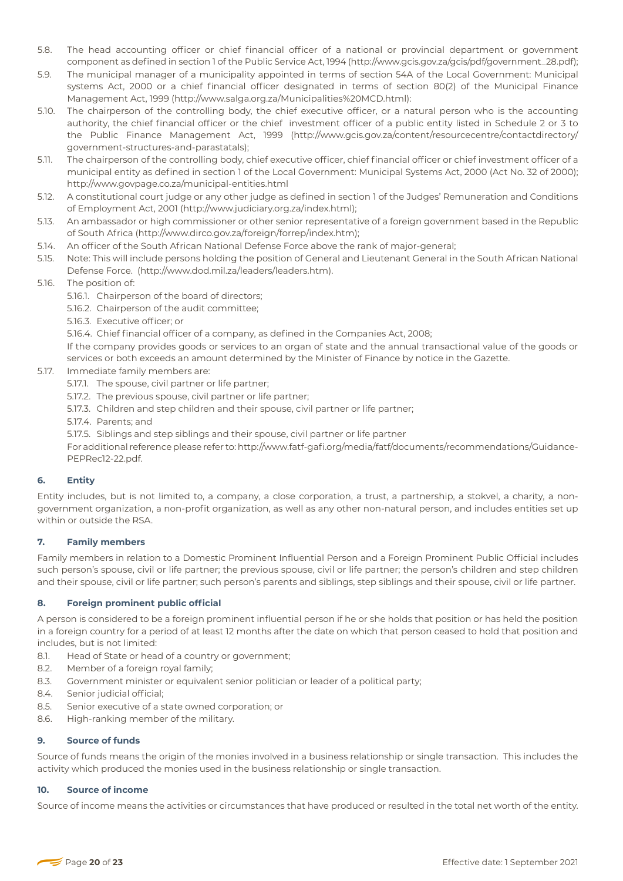- 5.8. The head accounting officer or chief financial officer of a national or provincial department or government component as defined in section 1 of the Public Service Act, 1994 (http://www.gcis.gov.za/gcis/pdf/government\_28.pdf);
- 5.9. The municipal manager of a municipality appointed in terms of section 54A of the Local Government: Municipal systems Act, 2000 or a chief financial officer designated in terms of section 80(2) of the Municipal Finance Management Act, 1999 (http://www.salga.org.za/Municipalities%20MCD.html):
- 5.10. The chairperson of the controlling body, the chief executive officer, or a natural person who is the accounting authority, the chief financial officer or the chief investment officer of a public entity listed in Schedule 2 or 3 to the Public Finance Management Act, 1999 (http://www.gcis.gov.za/content/resourcecentre/contactdirectory/ government-structures-and-parastatals);
- 5.11. The chairperson of the controlling body, chief executive officer, chief financial officer or chief investment officer of a municipal entity as defined in section 1 of the Local Government: Municipal Systems Act, 2000 (Act No. 32 of 2000); http://www.govpage.co.za/municipal-entities.html
- 5.12. A constitutional court judge or any other judge as defined in section 1 of the Judges' Remuneration and Conditions of Employment Act, 2001 (http://www.judiciary.org.za/index.html);
- 5.13. An ambassador or high commissioner or other senior representative of a foreign government based in the Republic of South Africa (http://www.dirco.gov.za/foreign/forrep/index.htm);
- 5.14. An officer of the South African National Defense Force above the rank of major-general;
- 5.15. Note: This will include persons holding the position of General and Lieutenant General in the South African National Defense Force. (http://www.dod.mil.za/leaders/leaders.htm).
- 5.16. The position of:
	- 5.16.1. Chairperson of the board of directors;
	- 5.16.2. Chairperson of the audit committee;
	- 5.16.3. Executive officer; or
	- 5.16.4. Chief financial officer of a company, as defined in the Companies Act, 2008;

If the company provides goods or services to an organ of state and the annual transactional value of the goods or services or both exceeds an amount determined by the Minister of Finance by notice in the Gazette.

- 5.17. Immediate family members are:
	- 5.17.1. The spouse, civil partner or life partner;
	- 5.17.2. The previous spouse, civil partner or life partner;
	- 5.17.3. Children and step children and their spouse, civil partner or life partner;
	- 5.17.4. Parents; and
	- 5.17.5. Siblings and step siblings and their spouse, civil partner or life partner

For additional reference please refer to: http://www.fatf-gafi.org/media/fatf/documents/recommendations/Guidance-PEPRec12-22.pdf.

# **6. Entity**

Entity includes, but is not limited to, a company, a close corporation, a trust, a partnership, a stokvel, a charity, a nongovernment organization, a non-profit organization, as well as any other non-natural person, and includes entities set up within or outside the RSA.

# **7. Family members**

Family members in relation to a Domestic Prominent Influential Person and a Foreign Prominent Public Official includes such person's spouse, civil or life partner; the previous spouse, civil or life partner; the person's children and step children and their spouse, civil or life partner; such person's parents and siblings, step siblings and their spouse, civil or life partner.

# **8. Foreign prominent public official**

A person is considered to be a foreign prominent influential person if he or she holds that position or has held the position in a foreign country for a period of at least 12 months after the date on which that person ceased to hold that position and includes, but is not limited:

- 8.1. Head of State or head of a country or government;
- 8.2. Member of a foreign royal family;
- 8.3. Government minister or equivalent senior politician or leader of a political party;
- 8.4. Senior judicial official;
- 8.5. Senior executive of a state owned corporation; or
- 8.6. High-ranking member of the military.

# **9. Source of funds**

Source of funds means the origin of the monies involved in a business relationship or single transaction. This includes the activity which produced the monies used in the business relationship or single transaction.

# **10. Source of income**

Source of income means the activities or circumstances that have produced or resulted in the total net worth of the entity.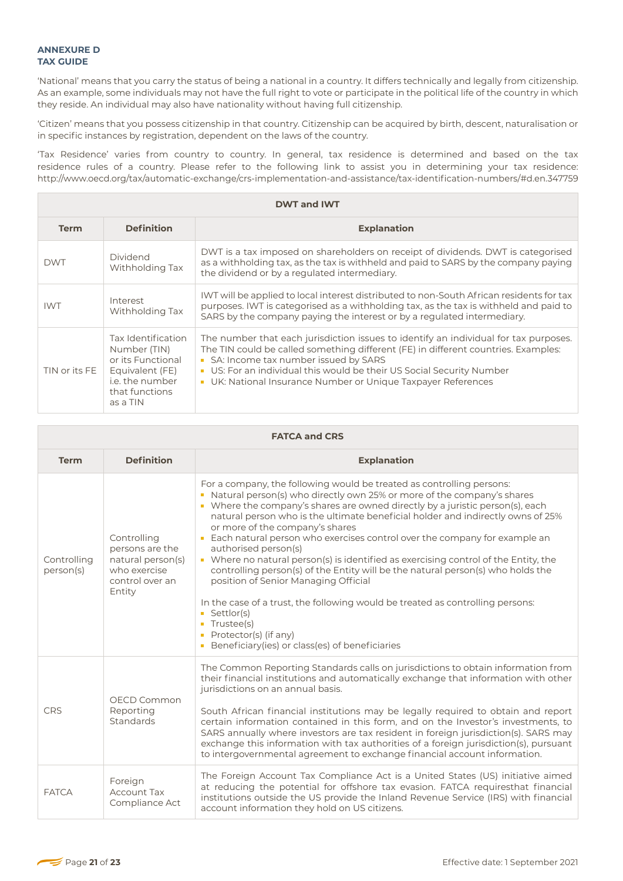'National' means that you carry the status of being a national in a country. It differs technically and legally from citizenship. As an example, some individuals may not have the full right to vote or participate in the political life of the country in which they reside. An individual may also have nationality without having full citizenship.

'Citizen' means that you possess citizenship in that country. Citizenship can be acquired by birth, descent, naturalisation or in specific instances by registration, dependent on the laws of the country.

'Tax Residence' varies from country to country. In general, tax residence is determined and based on the tax residence rules of a country. Please refer to the following link to assist you in determining your tax residence: http://www.oecd.org/tax/automatic-exchange/crs-implementation-and-assistance/tax-identification-numbers/#d.en.347759

| <b>DWT and IWT</b> |                                                                                                                             |                                                                                                                                                                                                                                                                                                                                                            |  |  |
|--------------------|-----------------------------------------------------------------------------------------------------------------------------|------------------------------------------------------------------------------------------------------------------------------------------------------------------------------------------------------------------------------------------------------------------------------------------------------------------------------------------------------------|--|--|
| <b>Term</b>        | <b>Definition</b>                                                                                                           | <b>Explanation</b>                                                                                                                                                                                                                                                                                                                                         |  |  |
| <b>DWT</b>         | Dividend<br>Withholding Tax                                                                                                 | DWT is a tax imposed on shareholders on receipt of dividends. DWT is categorised<br>as a withholding tax, as the tax is withheld and paid to SARS by the company paying<br>the dividend or by a regulated intermediary.                                                                                                                                    |  |  |
| <b>IWT</b>         | Interest<br>Withholding Tax                                                                                                 | IWT will be applied to local interest distributed to non-South African residents for tax<br>purposes. IWT is categorised as a withholding tax, as the tax is withheld and paid to<br>SARS by the company paying the interest or by a regulated intermediary.                                                                                               |  |  |
| TIN or its FE      | Tax Identification<br>Number (TIN)<br>or its Functional<br>Equivalent (FE)<br>i.e. the number<br>that functions<br>as a TIN | The number that each jurisdiction issues to identify an individual for tax purposes.<br>The TIN could be called something different (FE) in different countries. Examples:<br>SA: Income tax number issued by SARS<br>US: For an individual this would be their US Social Security Number<br>• UK: National Insurance Number or Unique Taxpayer References |  |  |

| <b>FATCA and CRS</b>     |                                                                                                  |                                                                                                                                                                                                                                                                                                                                                                                                                                                                                                                                                                                                                                                                                                                                                                                                                                                                                               |  |  |  |
|--------------------------|--------------------------------------------------------------------------------------------------|-----------------------------------------------------------------------------------------------------------------------------------------------------------------------------------------------------------------------------------------------------------------------------------------------------------------------------------------------------------------------------------------------------------------------------------------------------------------------------------------------------------------------------------------------------------------------------------------------------------------------------------------------------------------------------------------------------------------------------------------------------------------------------------------------------------------------------------------------------------------------------------------------|--|--|--|
| <b>Term</b>              | <b>Definition</b>                                                                                | <b>Explanation</b>                                                                                                                                                                                                                                                                                                                                                                                                                                                                                                                                                                                                                                                                                                                                                                                                                                                                            |  |  |  |
| Controlling<br>person(s) | Controlling<br>persons are the<br>natural person(s)<br>who exercise<br>control over an<br>Entity | For a company, the following would be treated as controlling persons:<br>Natural person(s) who directly own 25% or more of the company's shares<br>• Where the company's shares are owned directly by a juristic person(s), each<br>natural person who is the ultimate beneficial holder and indirectly owns of 25%<br>or more of the company's shares<br>Each natural person who exercises control over the company for example an<br>authorised person(s)<br>Where no natural person(s) is identified as exercising control of the Entity, the<br>$\mathbb{R}^n$<br>controlling person(s) of the Entity will be the natural person(s) who holds the<br>position of Senior Managing Official<br>In the case of a trust, the following would be treated as controlling persons:<br>Settlor(s)<br>Trustee(s)<br>Protector(s) (if any)<br>п<br>Beneficiary (ies) or class (es) of beneficiaries |  |  |  |
| CRS                      | OECD Common<br>Reporting<br>Standards                                                            | The Common Reporting Standards calls on jurisdictions to obtain information from<br>their financial institutions and automatically exchange that information with other<br>jurisdictions on an annual basis.<br>South African financial institutions may be legally required to obtain and report<br>certain information contained in this form, and on the Investor's investments, to<br>SARS annually where investors are tax resident in foreign jurisdiction(s). SARS may<br>exchange this information with tax authorities of a foreign jurisdiction(s), pursuant<br>to intergovernmental agreement to exchange financial account information.                                                                                                                                                                                                                                           |  |  |  |
| <b>FATCA</b>             | Foreign<br><b>Account Tax</b><br>Compliance Act                                                  | The Foreign Account Tax Compliance Act is a United States (US) initiative aimed<br>at reducing the potential for offshore tax evasion. FATCA requiresthat financial<br>institutions outside the US provide the Inland Revenue Service (IRS) with financial<br>account information they hold on US citizens.                                                                                                                                                                                                                                                                                                                                                                                                                                                                                                                                                                                   |  |  |  |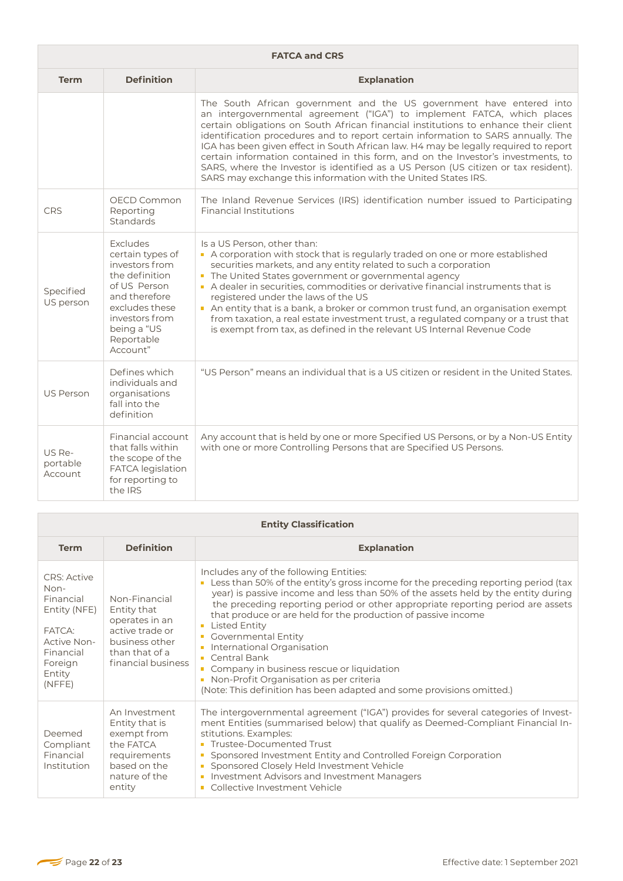|                               | <b>FATCA and CRS</b>                                                                                                                                                           |                                                                                                                                                                                                                                                                                                                                                                                                                                                                                                                                                                                                                                                                   |  |  |  |
|-------------------------------|--------------------------------------------------------------------------------------------------------------------------------------------------------------------------------|-------------------------------------------------------------------------------------------------------------------------------------------------------------------------------------------------------------------------------------------------------------------------------------------------------------------------------------------------------------------------------------------------------------------------------------------------------------------------------------------------------------------------------------------------------------------------------------------------------------------------------------------------------------------|--|--|--|
| <b>Term</b>                   | <b>Definition</b>                                                                                                                                                              | <b>Explanation</b>                                                                                                                                                                                                                                                                                                                                                                                                                                                                                                                                                                                                                                                |  |  |  |
|                               |                                                                                                                                                                                | The South African government and the US government have entered into<br>an intergovernmental agreement ("IGA") to implement FATCA, which places<br>certain obligations on South African financial institutions to enhance their client<br>identification procedures and to report certain information to SARS annually. The<br>IGA has been given effect in South African law. H4 may be legally required to report<br>certain information contained in this form, and on the Investor's investments, to<br>SARS, where the Investor is identified as a US Person (US citizen or tax resident).<br>SARS may exchange this information with the United States IRS. |  |  |  |
| CRS                           | OECD Common<br>Reporting<br>Standards                                                                                                                                          | The Inland Revenue Services (IRS) identification number issued to Participating<br><b>Financial Institutions</b>                                                                                                                                                                                                                                                                                                                                                                                                                                                                                                                                                  |  |  |  |
| Specified<br>US person        | Excludes<br>certain types of<br>investors from<br>the definition<br>of US Person<br>and therefore<br>excludes these<br>investors from<br>being a "US<br>Reportable<br>Account" | Is a US Person, other than:<br>A corporation with stock that is regularly traded on one or more established<br>securities markets, and any entity related to such a corporation<br>The United States government or governmental agency<br>A dealer in securities, commodities or derivative financial instruments that is<br>registered under the laws of the US<br>An entity that is a bank, a broker or common trust fund, an organisation exempt<br>from taxation, a real estate investment trust, a regulated company or a trust that<br>is exempt from tax, as defined in the relevant US Internal Revenue Code                                              |  |  |  |
| <b>US Person</b>              | Defines which<br>individuals and<br>organisations<br>fall into the<br>definition                                                                                               | "US Person" means an individual that is a US citizen or resident in the United States.                                                                                                                                                                                                                                                                                                                                                                                                                                                                                                                                                                            |  |  |  |
| US Re-<br>portable<br>Account | Financial account<br>that falls within<br>the scope of the<br><b>FATCA</b> legislation<br>for reporting to<br>the IRS                                                          | Any account that is held by one or more Specified US Persons, or by a Non-US Entity<br>with one or more Controlling Persons that are Specified US Persons.                                                                                                                                                                                                                                                                                                                                                                                                                                                                                                        |  |  |  |

| <b>Entity Classification</b>                                                                                                        |                                                                                                                             |                                                                                                                                                                                                                                                                                                                                                                                                                                                                                                                                                                                                                                                                         |  |
|-------------------------------------------------------------------------------------------------------------------------------------|-----------------------------------------------------------------------------------------------------------------------------|-------------------------------------------------------------------------------------------------------------------------------------------------------------------------------------------------------------------------------------------------------------------------------------------------------------------------------------------------------------------------------------------------------------------------------------------------------------------------------------------------------------------------------------------------------------------------------------------------------------------------------------------------------------------------|--|
| <b>Term</b>                                                                                                                         | <b>Definition</b>                                                                                                           | <b>Explanation</b>                                                                                                                                                                                                                                                                                                                                                                                                                                                                                                                                                                                                                                                      |  |
| <b>CRS</b> : Active<br>Non-<br>Financial<br>Entity (NFE)<br>FATCA:<br>Active Non-<br>Financial<br>Foreign<br>Entity<br>$(N$ FFE $)$ | Non-Financial<br>Entity that<br>operates in an<br>active trade or<br>business other<br>than that of a<br>financial business | Includes any of the following Entities:<br>Less than 50% of the entity's gross income for the preceding reporting period (tax<br>year) is passive income and less than 50% of the assets held by the entity during<br>the preceding reporting period or other appropriate reporting period are assets<br>that produce or are held for the production of passive income<br><b>Listed Entity</b><br>п<br><b>Governmental Entity</b><br>$\blacksquare$<br>International Organisation<br>Central Bank<br>Company in business rescue or liquidation<br>п<br>Non-Profit Organisation as per criteria<br>(Note: This definition has been adapted and some provisions omitted.) |  |
| Deemed<br>Compliant<br>Financial<br>Institution                                                                                     | An Investment<br>Entity that is<br>exempt from<br>the FATCA<br>requirements<br>based on the<br>nature of the<br>entity      | The intergovernmental agreement ("IGA") provides for several categories of Invest-<br>ment Entities (summarised below) that qualify as Deemed-Compliant Financial In-<br>stitutions. Examples:<br><b>Trustee-Documented Trust</b><br>Sponsored Investment Entity and Controlled Foreign Corporation<br>п<br>Sponsored Closely Held Investment Vehicle<br>$\Box$<br><b>Investment Advisors and Investment Managers</b><br>п<br>Collective Investment Vehicle                                                                                                                                                                                                             |  |

Г